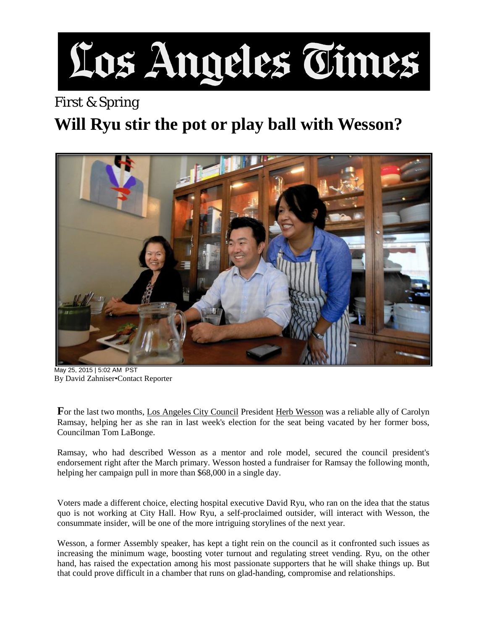## Los Angeles Times

## First & Spring **Will Ryu stir the pot or play ball with Wesson?**



May 25, 2015 | 5:02 AM PST By David Zahniser•Contact Reporter

**F**or the last two months, [Los Angeles City Council](http://www.latimes.com/topic/politics-government/government/los-angeles-city-council-ORGOVV0000379-topic.html) President [Herb Wesson](http://www.latimes.com/topic/politics-government/government/herb-wesson-PEPLT007017-topic.html) was a reliable ally of Carolyn Ramsay, helping her as she ran in last week's election for the seat being vacated by her former boss, Councilman Tom LaBonge.

Ramsay, who had described Wesson as a mentor and role model, secured the council president's endorsement right after the March primary. Wesson hosted a fundraiser for Ramsay the following month, helping her campaign pull in more than \$68,000 in a single day.

Voters made a different choice, electing hospital executive David Ryu, who ran on the idea that the status quo is not working at City Hall. How Ryu, a self-proclaimed outsider, will interact with Wesson, the consummate insider, will be one of the more intriguing storylines of the next year.

Wesson, a former Assembly speaker, has kept a tight rein on the council as it confronted such issues as increasing the minimum wage, boosting voter turnout and regulating street vending. Ryu, on the other hand, has raised the expectation among his most passionate supporters that he will shake things up. But that could prove difficult in a chamber that runs on glad-handing, compromise and relationships.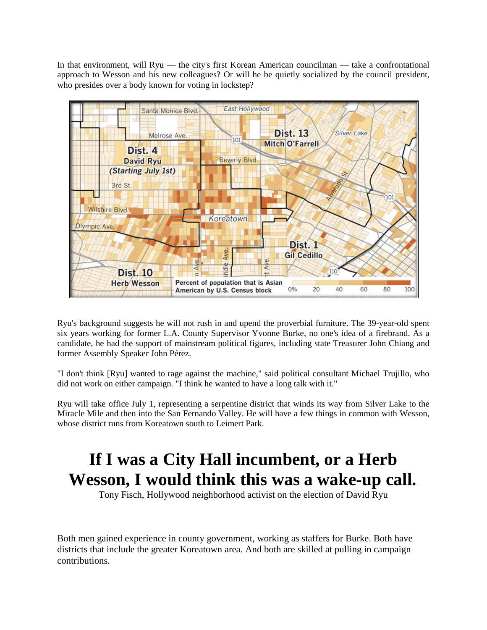In that environment, will Ryu — the city's first Korean American councilman — take a confrontational approach to Wesson and his new colleagues? Or will he be quietly socialized by the council president, who presides over a body known for voting in lockstep?



Ryu's background suggests he will not rush in and upend the proverbial furniture. The 39-year-old spent six years working for former L.A. County Supervisor Yvonne Burke, no one's idea of a firebrand. As a candidate, he had the support of mainstream political figures, including state Treasurer John Chiang and former Assembly Speaker John Pérez.

"I don't think [Ryu] wanted to rage against the machine," said political consultant Michael Trujillo, who did not work on either campaign. "I think he wanted to have a long talk with it."

Ryu will take office July 1, representing a serpentine district that winds its way from Silver Lake to the Miracle Mile and then into the San Fernando Valley. He will have a few things in common with Wesson, whose district runs from Koreatown south to Leimert Park.

## **If I was a City Hall incumbent, or a Herb Wesson, I would think this was a wake-up call.**-

Tony Fisch, Hollywood neighborhood activist on the election of David Ryu

Both men gained experience in county government, working as staffers for Burke. Both have districts that include the greater Koreatown area. And both are skilled at pulling in campaign contributions.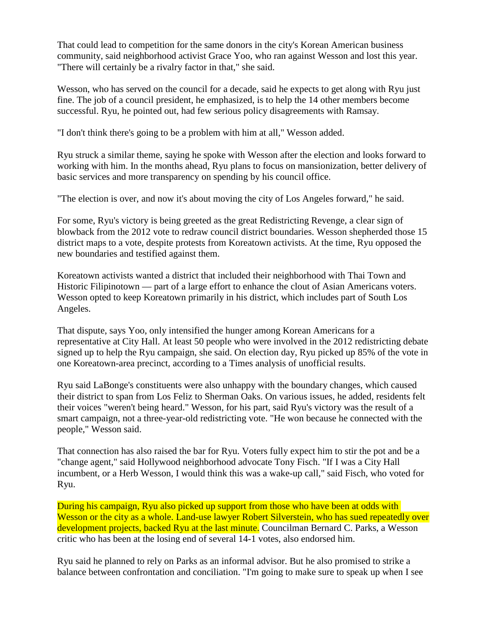That could lead to competition for the same donors in the city's Korean American business community, said neighborhood activist Grace Yoo, who ran against Wesson and lost this year. "There will certainly be a rivalry factor in that," she said.

Wesson, who has served on the council for a decade, said he expects to get along with Ryu just fine. The job of a council president, he emphasized, is to help the 14 other members become successful. Ryu, he pointed out, had few serious policy disagreements with Ramsay.

"I don't think there's going to be a problem with him at all," Wesson added.

Ryu struck a similar theme, saying he spoke with Wesson after the election and looks forward to working with him. In the months ahead, Ryu plans to focus on mansionization, better delivery of basic services and more transparency on spending by his council office.

"The election is over, and now it's about moving the city of Los Angeles forward," he said.

For some, Ryu's victory is being greeted as the great Redistricting Revenge, a clear sign of blowback from the 2012 vote to redraw council district boundaries. Wesson shepherded those 15 district maps to a vote, despite protests from Koreatown activists. At the time, Ryu opposed the new boundaries and testified against them.

Koreatown activists wanted a district that included their neighborhood with Thai Town and Historic Filipinotown — part of a large effort to enhance the clout of Asian Americans voters. Wesson opted to keep Koreatown primarily in his district, which includes part of South Los Angeles.

That dispute, says Yoo, only intensified the hunger among Korean Americans for a representative at City Hall. At least 50 people who were involved in the 2012 redistricting debate signed up to help the Ryu campaign, she said. On election day, Ryu picked up 85% of the vote in one Koreatown-area precinct, according to a Times analysis of unofficial results.

Ryu said LaBonge's constituents were also unhappy with the boundary changes, which caused their district to span from Los Feliz to Sherman Oaks. On various issues, he added, residents felt their voices "weren't being heard." Wesson, for his part, said Ryu's victory was the result of a smart campaign, not a three-year-old redistricting vote. "He won because he connected with the people," Wesson said.

That connection has also raised the bar for Ryu. Voters fully expect him to stir the pot and be a "change agent," said Hollywood neighborhood advocate Tony Fisch. "If I was a City Hall incumbent, or a Herb Wesson, I would think this was a wake-up call," said Fisch, who voted for Ryu.

During his campaign, Ryu also picked up support from those who have been at odds with Wesson or the city as a whole. Land-use lawyer Robert Silverstein, who has sued repeatedly over development projects, backed Ryu at the last minute. Councilman Bernard C. Parks, a Wesson critic who has been at the losing end of several 14-1 votes, also endorsed him.

Ryu said he planned to rely on Parks as an informal advisor. But he also promised to strike a balance between confrontation and conciliation. "I'm going to make sure to speak up when I see